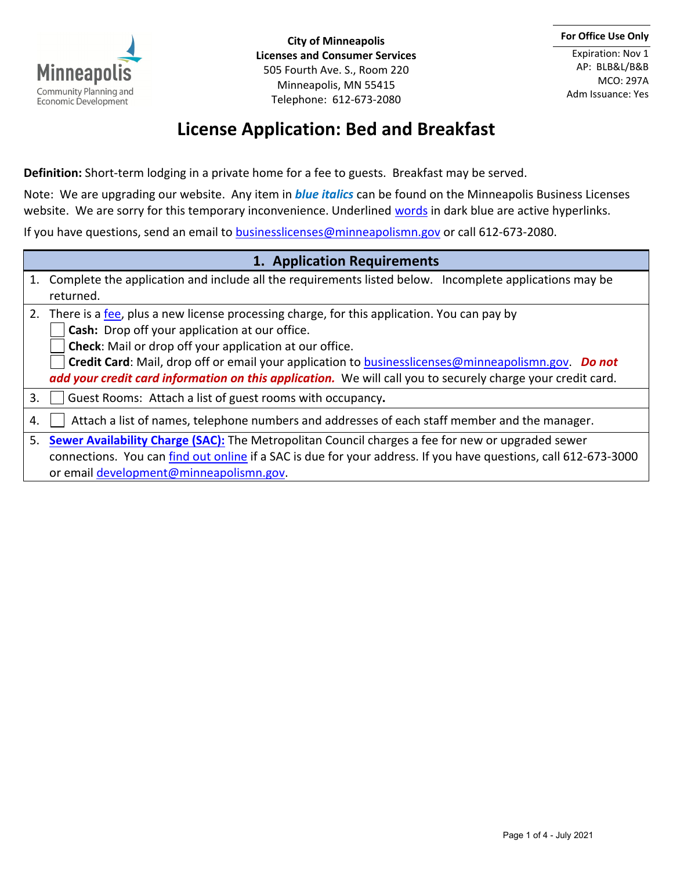

**City of Minneapolis Licenses and Consumer Services** 505 Fourth Ave. S., Room 220 Minneapolis, MN 55415 Telephone: 612-673-2080

Expiration: Nov 1 AP: BLB&L/B&B MCO: 297A Adm Issuance: Yes

## **License Application: Bed and Breakfast**

**Definition:** Short-term lodging in a private home for a fee to guests. Breakfast may be served.

Note: We are upgrading our website. Any item in *blue italics* can be found on the Minneapolis Business Licenses website. We are sorry for this temporary inconvenience. Underlined words in dark blue are active hyperlinks.

If you have questions, send an email to [businesslicenses@minneapolismn.gov](mailto:businesslicenses@minneapolismn.gov) or call 612-673-2080.

## **1. Application Requirements**

| 1. Complete the application and include all the requirements listed below. Incomplete applications may be |  |
|-----------------------------------------------------------------------------------------------------------|--|
| returned.                                                                                                 |  |

2. There is a [fee,](https://app.smartsheet.com/b/publish?EQBCT=4413b0bc45f74d7a8e5eb3dadee346bf) plus a new license processing charge, for this application. You can pay by

**Cash:** Drop off your application at our office.

**Check**: Mail or drop off your application at our office.

**Credit Card**: Mail, drop off or email your application to [businesslicenses@minneapolismn.gov.](mailto:businesslicenses@minneapolismn.gov) *Do not add your credit card information on this application.*We will call you to securely charge your credit card.

3. Guest Rooms:Attach a list of guest rooms with occupancy**.**

4.  $\vert$   $\vert$  Attach a list of names, telephone numbers and addresses of each staff member and the manager.

5. **[Sewer Availability Charge](https://metrocouncil.org/Wastewater-Water/Funding-Finance/Rates-Charges/Sewer-Availability-Charge.aspx) (SAC):** The Metropolitan Council charges a fee for new or upgraded sewer connections. You can [find out online](https://sacsubmittal.metc.state.mn.us/Account/Login?ReturnUrl=%2F) if a SAC is due for your address. If you have questions, call 612-673-3000 or email [development@minneapolismn.gov.](mailto:development@minneapolismn.gov)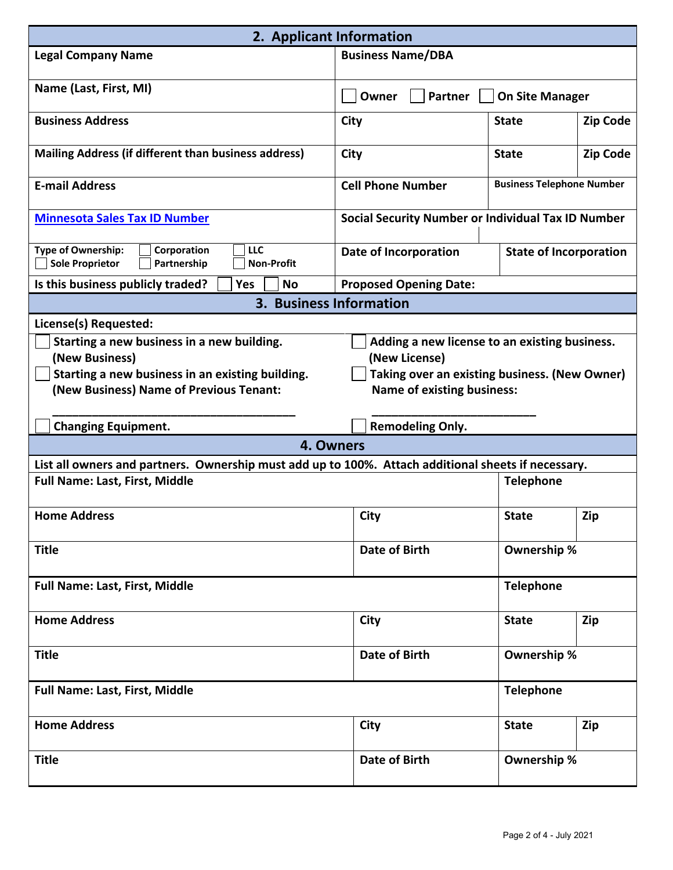| 2. Applicant Information                                                                                                                                                                                                                                                                                            |                                                           |                                  |                 |  |
|---------------------------------------------------------------------------------------------------------------------------------------------------------------------------------------------------------------------------------------------------------------------------------------------------------------------|-----------------------------------------------------------|----------------------------------|-----------------|--|
| <b>Legal Company Name</b>                                                                                                                                                                                                                                                                                           | <b>Business Name/DBA</b>                                  |                                  |                 |  |
| Name (Last, First, MI)                                                                                                                                                                                                                                                                                              | <b>On Site Manager</b><br><b>Partner</b><br>Owner         |                                  |                 |  |
| <b>Business Address</b>                                                                                                                                                                                                                                                                                             | <b>City</b>                                               | <b>State</b>                     | <b>Zip Code</b> |  |
| <b>Mailing Address (if different than business address)</b>                                                                                                                                                                                                                                                         | <b>City</b>                                               | <b>State</b>                     | <b>Zip Code</b> |  |
| <b>E-mail Address</b>                                                                                                                                                                                                                                                                                               | <b>Cell Phone Number</b>                                  | <b>Business Telephone Number</b> |                 |  |
| <b>Minnesota Sales Tax ID Number</b>                                                                                                                                                                                                                                                                                | <b>Social Security Number or Individual Tax ID Number</b> |                                  |                 |  |
| Type of Ownership:<br>Corporation<br><b>LLC</b><br><b>Sole Proprietor</b><br>Partnership<br><b>Non-Profit</b>                                                                                                                                                                                                       | <b>Date of Incorporation</b>                              | <b>State of Incorporation</b>    |                 |  |
| Is this business publicly traded?<br>Yes<br><b>No</b>                                                                                                                                                                                                                                                               | <b>Proposed Opening Date:</b>                             |                                  |                 |  |
| 3. Business Information                                                                                                                                                                                                                                                                                             |                                                           |                                  |                 |  |
| License(s) Requested:                                                                                                                                                                                                                                                                                               |                                                           |                                  |                 |  |
| Starting a new business in a new building.<br>Adding a new license to an existing business.<br>(New Business)<br>(New License)<br>Starting a new business in an existing building.<br>Taking over an existing business. (New Owner)<br>(New Business) Name of Previous Tenant:<br><b>Name of existing business:</b> |                                                           |                                  |                 |  |
| <b>Changing Equipment.</b>                                                                                                                                                                                                                                                                                          | <b>Remodeling Only.</b>                                   |                                  |                 |  |
| 4. Owners                                                                                                                                                                                                                                                                                                           |                                                           |                                  |                 |  |
| List all owners and partners. Ownership must add up to 100%. Attach additional sheets if necessary.                                                                                                                                                                                                                 |                                                           |                                  |                 |  |
| <b>Full Name: Last, First, Middle</b>                                                                                                                                                                                                                                                                               |                                                           | <b>Telephone</b>                 |                 |  |
| <b>Home Address</b>                                                                                                                                                                                                                                                                                                 | <b>City</b>                                               | <b>State</b>                     | Zip             |  |
| <b>Title</b>                                                                                                                                                                                                                                                                                                        | <b>Date of Birth</b>                                      | Ownership %                      |                 |  |
| <b>Full Name: Last, First, Middle</b>                                                                                                                                                                                                                                                                               |                                                           | <b>Telephone</b>                 |                 |  |
| <b>Home Address</b>                                                                                                                                                                                                                                                                                                 | <b>City</b>                                               | <b>State</b>                     | Zip             |  |
| <b>Title</b>                                                                                                                                                                                                                                                                                                        | <b>Date of Birth</b>                                      | Ownership %                      |                 |  |
| <b>Full Name: Last, First, Middle</b>                                                                                                                                                                                                                                                                               |                                                           | <b>Telephone</b>                 |                 |  |
| <b>Home Address</b>                                                                                                                                                                                                                                                                                                 | <b>City</b>                                               | <b>State</b>                     | Zip             |  |
| <b>Title</b>                                                                                                                                                                                                                                                                                                        | <b>Date of Birth</b>                                      | Ownership %                      |                 |  |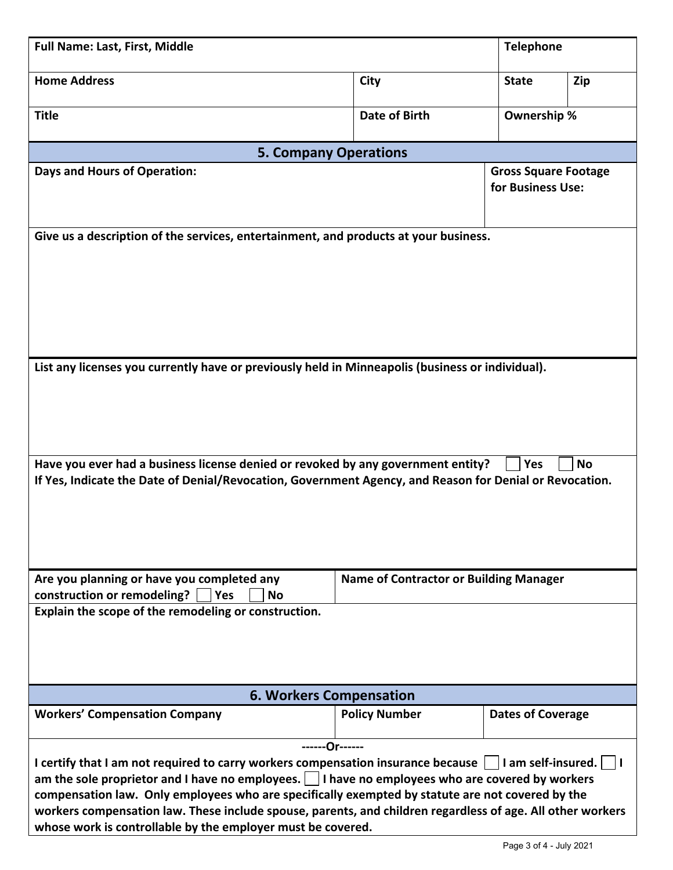| <b>Full Name: Last, First, Middle</b>                                                                                                                                                                                                                                                                                                                                                                                                                                                                                            |                                               | <b>Telephone</b>                                 |     |  |  |
|----------------------------------------------------------------------------------------------------------------------------------------------------------------------------------------------------------------------------------------------------------------------------------------------------------------------------------------------------------------------------------------------------------------------------------------------------------------------------------------------------------------------------------|-----------------------------------------------|--------------------------------------------------|-----|--|--|
| <b>Home Address</b>                                                                                                                                                                                                                                                                                                                                                                                                                                                                                                              | City                                          | <b>State</b>                                     | Zip |  |  |
| <b>Title</b>                                                                                                                                                                                                                                                                                                                                                                                                                                                                                                                     | Date of Birth                                 | Ownership %                                      |     |  |  |
| <b>5. Company Operations</b>                                                                                                                                                                                                                                                                                                                                                                                                                                                                                                     |                                               |                                                  |     |  |  |
| <b>Days and Hours of Operation:</b>                                                                                                                                                                                                                                                                                                                                                                                                                                                                                              |                                               | <b>Gross Square Footage</b><br>for Business Use: |     |  |  |
| Give us a description of the services, entertainment, and products at your business.                                                                                                                                                                                                                                                                                                                                                                                                                                             |                                               |                                                  |     |  |  |
| List any licenses you currently have or previously held in Minneapolis (business or individual).                                                                                                                                                                                                                                                                                                                                                                                                                                 |                                               |                                                  |     |  |  |
| Have you ever had a business license denied or revoked by any government entity?<br><b>No</b><br><b>Yes</b><br>If Yes, Indicate the Date of Denial/Revocation, Government Agency, and Reason for Denial or Revocation.                                                                                                                                                                                                                                                                                                           |                                               |                                                  |     |  |  |
| Are you planning or have you completed any<br>construction or remodeling?<br><b>No</b><br>Yes<br>Explain the scope of the remodeling or construction.                                                                                                                                                                                                                                                                                                                                                                            | <b>Name of Contractor or Building Manager</b> |                                                  |     |  |  |
|                                                                                                                                                                                                                                                                                                                                                                                                                                                                                                                                  |                                               |                                                  |     |  |  |
| <b>6. Workers Compensation</b>                                                                                                                                                                                                                                                                                                                                                                                                                                                                                                   |                                               |                                                  |     |  |  |
| <b>Workers' Compensation Company</b>                                                                                                                                                                                                                                                                                                                                                                                                                                                                                             | <b>Policy Number</b>                          | <b>Dates of Coverage</b>                         |     |  |  |
| -------Or------<br>I certify that I am not required to carry workers compensation insurance because<br>      am self-insured.<br>am the sole proprietor and I have no employees. $\vert \ \vert$ I have no employees who are covered by workers<br>compensation law. Only employees who are specifically exempted by statute are not covered by the<br>workers compensation law. These include spouse, parents, and children regardless of age. All other workers<br>whose work is controllable by the employer must be covered. |                                               |                                                  |     |  |  |